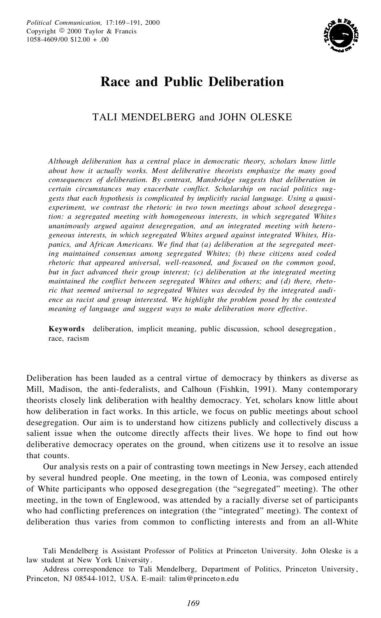

# **Race and Public Deliberation**

## TALI MENDELBERG and JOHN OLESKE

*Although deliberation has a central place in democratic theory, scholars know little about how it actually works. Most deliberative theorists emphasize the many good consequences of deliberation. By contrast, Mansbridge suggests that deliberation in certain circumstances may exacerbate conflict. Scholarship on racial politics sug gests that each hypothesis is complicated by implicitly racial language. Using a quasi experiment, we contrast the rhetoric in two town meetings about school desegrega tion: a segregated meeting with homogeneous interests, in which segregated Whites unanimously argued against desegregation, and an integrated meeting with hetero geneous interests, in which segregated Whites argued against integrated Whites, His panics, and African Americans. We find that (a) deliberation at the segregated meeting maintained consensus among segregated Whites; (b) these citizens used coded rhetoric that appeared universal, well-reasoned, and focused on the common good, but in fact advanced their group interest; (c) deliberation at the integrated meeting maintained the conflict between segregated Whites and others; and (d) there, rheto ric that seemed universal to segregated Whites was decoded by the integrated audi ence as racist and group interested. We highlight the problem posed by the contested meaning of language and suggest ways to make deliberation more effective.*

**Keywords** deliberation, implicit meaning, public discussion, school desegregation , race, racism

Deliberation has been lauded as a central virtue of democracy by thinkers as diverse as Mill, Madison, the anti-federalists, and Calhoun (Fishkin, 1991). Many contemporary theorists closely link deliberation with healthy democracy. Yet, scholars know little about how deliberation in fact works. In this article, we focus on public meetings about school desegregation. Our aim is to understand how citizens publicly and collectively discuss a salient issue when the outcome directly affects their lives. We hope to find out how deliberative democracy operates on the ground, when citizens use it to resolve an issue that counts.

Our analysis rests on a pair of contrasting town meetings in New Jersey, each attended by several hundred people. One meeting, in the town of Leonia, was composed entirely of White participants who opposed desegregation (the "segregated" meeting). The other meeting, in the town of Englewood, was attended by a racially diverse set of participants who had conflicting preferences on integration (the "integrated" meeting). The context of deliberation thus varies from common to conflicting interests and from an all-White

Address correspondence to Tali Mendelberg, Department of Politics, Princeton University, Princeton, NJ 08544-1012, USA. E-mail: talim@princeto n.edu

Tali Mendelberg is Assistant Professor of Politics at Princeton University. John Oleske is a law student at New York University.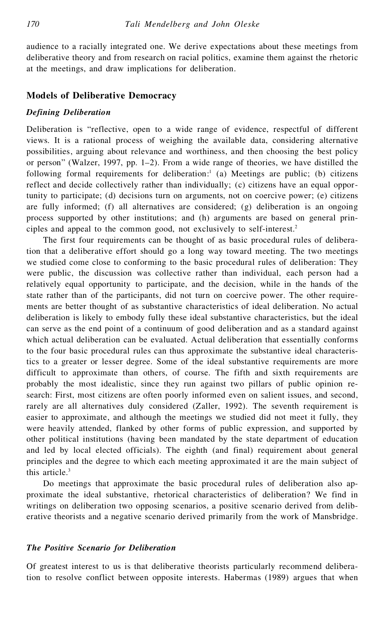audience to a racially integrated one. We derive expectations about these meetings from deliberative theory and from research on racial politics, examine them against the rhetoric at the meetings, and draw implications for deliberation.

#### **Models of Deliberative Democracy**

#### *Defining Deliberation*

Deliberation is "reflective, open to a wide range of evidence, respectful of different views. It is a rational process of weighing the available data, considering alternative possibilities, arguing about relevance and worthiness, and then choosing the best policy or person" (Walzer, 1997, pp. 1–2). From a wide range of theories, we have distilled the following formal requirements for deliberation:<sup>1</sup> (a) Meetings are public; (b) citizens reflect and decide collectively rather than individually; (c) citizens have an equal opportunity to participate; (d) decisions turn on arguments, not on coercive power; (e) citizens are fully informed; (f) all alternatives are considered; (g) deliberation is an ongoing process supported by other institutions; and (h) arguments are based on general prin ciples and appeal to the common good, not exclusively to self-interest.<sup>2</sup>

The first four requirements can be thought of as basic procedural rules of deliberation that a deliberative effort should go a long way toward meeting. The two meetings we studied come close to conforming to the basic procedural rules of deliberation: They were public, the discussion was collective rather than individual, each person had a relatively equal opportunity to participate, and the decision, while in the hands of the state rather than of the participants, did not turn on coercive power. The other require ments are better thought of as substantive characteristics of ideal deliberation. No actual deliberation is likely to embody fully these ideal substantive characteristics, but the ideal can serve as the end point of a continuum of good deliberation and as a standard against which actual deliberation can be evaluated. Actual deliberation that essentially conforms to the four basic procedural rules can thus approximate the substantive ideal characteristics to a greater or lesser degree. Some of the ideal substantive requirements are more difficult to approximate than others, of course. The fifth and sixth requirements are probably the most idealistic, since they run against two pillars of public opinion research: First, most citizens are often poorly informed even on salient issues, and second, rarely are all alternatives duly considered (Zaller, 1992). The seventh requirement is easier to approximate, and although the meetings we studied did not meet it fully, they were heavily attended, flanked by other forms of public expression, and supported by other political institutions (having been mandated by the state department of education and led by local elected officials). The eighth (and final) requirement about general principles and the degree to which each meeting approximated it are the main subject of this article.<sup>3</sup>

Do meetings that approximate the basic procedural rules of deliberation also ap proximate the ideal substantive, rhetorical characteristics of deliberation? We find in writings on deliberation two opposing scenarios, a positive scenario derived from delib erative theorists and a negative scenario derived primarily from the work of Mansbridge.

#### *The Positive Scenario for Deliberation*

Of greatest interest to us is that deliberative theorists particularly recommend deliberation to resolve conflict between opposite interests. Habermas (1989) argues that when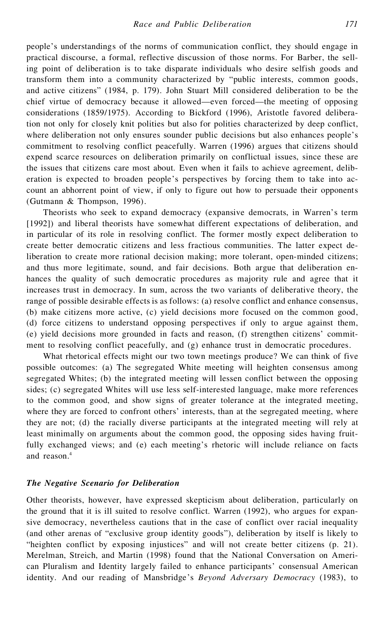people's understandings of the norms of communication conflict, they should engage in practical discourse, a formal, reflective discussion of those norms. For Barber, the selling point of deliberation is to take disparate individuals who desire selfish goods and transform them into a community characterized by "public interests, common goods, and active citizens" (1984, p. 179). John Stuart Mill considered deliberation to be the chief virtue of democracy because it allowed—even forced—the meeting of opposing considerations (1859/1975). According to Bickford (1996), Aristotle favored deliberation not only for closely knit polities but also for polities characterized by deep conflict, where deliberation not only ensures sounder public decisions but also enhances people's commitment to resolving conflict peacefully. Warren (1996) argues that citizens should expend scarce resources on deliberation primarily on conflictual issues, since these are the issues that citizens care most about. Even when it fails to achieve agreement, delib eration is expected to broaden people's perspectives by forcing them to take into ac count an abhorrent point of view, if only to figure out how to persuade their opponents (Gutmann & Thompson, 1996).

Theorists who seek to expand democracy (expansive democrats, in Warren's term [1992]) and liberal theorists have somewhat different expectations of deliberation, and in particular of its role in resolving conflict. The former mostly expect deliberation to create better democratic citizens and less fractious communities. The latter expect deliberation to create more rational decision making; more tolerant, open-minded citizens; and thus more legitimate, sound, and fair decisions. Both argue that deliberation en hances the quality of such democratic procedures as majority rule and agree that it increases trust in democracy. In sum, across the two variants of deliberative theory, the range of possible desirable effects is as follows: (a) resolve conflict and enhance consensus, (b) make citizens more active, (c) yield decisions more focused on the common good, (d) force citizens to understand opposing perspectives if only to argue against them, (e) yield decisions more grounded in facts and reason, (f) strengthen citizens' commit ment to resolving conflict peacefully, and (g) enhance trust in democratic procedures.

What rhetorical effects might our two town meetings produce? We can think of five possible outcomes: (a) The segregated White meeting will heighten consensus among segregated Whites; (b) the integrated meeting will lessen conflict between the opposing sides; (c) segregated Whites will use less self-interested language, make more references to the common good, and show signs of greater tolerance at the integrated meeting, where they are forced to confront others' interests, than at the segregated meeting, where they are not; (d) the racially diverse participants at the integrated meeting will rely at least minimally on arguments about the common good, the opposing sides having fruitfully exchanged views; and (e) each meeting's rhetoric will include reliance on facts and reason.<sup>4</sup>

#### *The Negative Scenario for Deliberation*

Other theorists, however, have expressed skepticism about deliberation, particularly on the ground that it is ill suited to resolve conflict. Warren (1992), who argues for expansive democracy, nevertheless cautions that in the case of conflict over racial inequality (and other arenas of "exclusive group identity goods"), deliberation by itself is likely to "heighten conflict by exposing injustices" and will not create better citizens (p. 21). Merelman, Streich, and Martin (1998) found that the National Conversation on Ameri can Pluralism and Identity largely failed to enhance participants' consensual American identity. And our reading of Mansbridge's *Beyond Adversary Democracy* (1983), to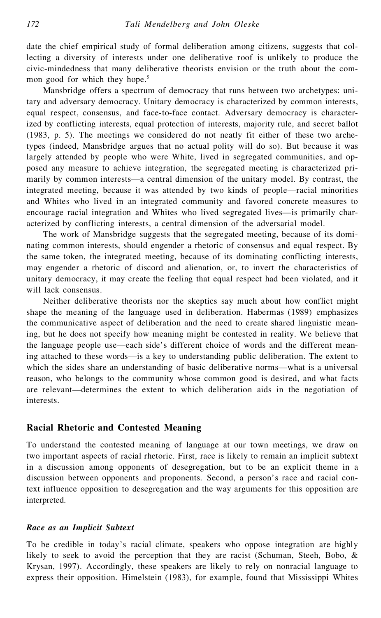date the chief empirical study of formal deliberation among citizens, suggests that collecting a diversity of interests under one deliberative roof is unlikely to produce the civic-mindedness that many deliberative theorists envision or the truth about the com mon good for which they hope.<sup>5</sup>

Mansbridge offers a spectrum of democracy that runs between two archetypes: unitary and adversary democracy. Unitary democracy is characterized by common interests, equal respect, consensus, and face-to-face contact. Adversary democracy is characterized by conflicting interests, equal protection of interests, majority rule, and secret ballot (1983, p. 5). The meetings we considered do not neatly fit either of these two archetypes (indeed, Mansbridge argues that no actual polity will do so). But because it was largely attended by people who were White, lived in segregated communities, and op posed any measure to achieve integration, the segregated meeting is characterized pri marily by common interests—a central dimension of the unitary model. By contrast, the integrated meeting, because it was attended by two kinds of people—racial minorities and Whites who lived in an integrated community and favored concrete measures to encourage racial integration and Whites who lived segregated lives—is primarily char acterized by conflicting interests, a central dimension of the adversarial model.

The work of Mansbridge suggests that the segregated meeting, because of its domi nating common interests, should engender a rhetoric of consensus and equal respect. By the same token, the integrated meeting, because of its dominating conflicting interests, may engender a rhetoric of discord and alienation, or, to invert the characteristics of unitary democracy, it may create the feeling that equal respect had been violated, and it will lack consensus.

Neither deliberative theorists nor the skeptics say much about how conflict might shape the meaning of the language used in deliberation. Habermas (1989) emphasizes the communicative aspect of deliberation and the need to create shared linguistic meaning, but he does not specify how meaning might be contested in reality. We believe that the language people use—each side's different choice of words and the different meaning attached to these words—is a key to understanding public deliberation. The extent to which the sides share an understanding of basic deliberative norms—what is a universal reason, who belongs to the community whose common good is desired, and what facts are relevant—determines the extent to which deliberation aids in the negotiation of interests.

## **Racial Rhetoric and Contested Meaning**

To understand the contested meaning of language at our town meetings, we draw on two important aspects of racial rhetoric. First, race is likely to remain an implicit subtext in a discussion among opponents of desegregation, but to be an explicit theme in a discussion between opponents and proponents. Second, a person's race and racial context influence opposition to desegregation and the way arguments for this opposition are interpreted.

#### *Race as an Implicit Subtext*

To be credible in today's racial climate, speakers who oppose integration are highly likely to seek to avoid the perception that they are racist (Schuman, Steeh, Bobo, & Krysan, 1997). Accordingly, these speakers are likely to rely on nonracial language to express their opposition. Himelstein (1983), for example, found that Mississippi Whites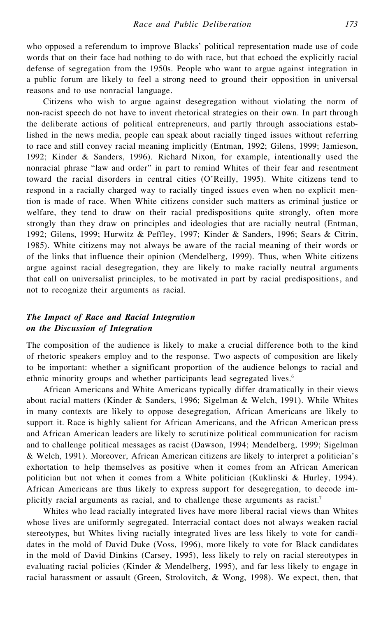who opposed a referendum to improve Blacks' political representation made use of code words that on their face had nothing to do with race, but that echoed the explicitly racial defense of segregation from the 1950s. People who want to argue against integration in a public forum are likely to feel a strong need to ground their opposition in universal reasons and to use nonracial language.

Citizens who wish to argue against desegregation without violating the norm of non-racist speech do not have to invent rhetorical strategies on their own. In part through the deliberate actions of political entrepreneurs, and partly through associations established in the news media, people can speak about racially tinged issues without referring to race and still convey racial meaning implicitly (Entman, 1992; Gilens, 1999; Jamieson, 1992; Kinder & Sanders, 1996). Richard Nixon, for example, intentionally used the nonracial phrase "law and order" in part to remind Whites of their fear and resentment toward the racial disorders in central cities (O'Reilly, 1995). White citizens tend to respond in a racially charged way to racially tinged issues even when no explicit mention is made of race. When White citizens consider such matters as criminal justice or welfare, they tend to draw on their racial predispositions quite strongly, often more strongly than they draw on principles and ideologies that are racially neutral (Entman, 1992; Gilens, 1999; Hurwitz & Peffley, 1997; Kinder & Sanders, 1996; Sears & Citrin, 1985). White citizens may not always be aware of the racial meaning of their words or of the links that influence their opinion (Mendelberg, 1999). Thus, when White citizens argue against racial desegregation, they are likely to make racially neutral arguments that call on universalist principles, to be motivated in part by racial predispositions, and not to recognize their arguments as racial.

## *The Impact of Race and Racial Integration on the Discussion of Integration*

The composition of the audience is likely to make a crucial difference both to the kind of rhetoric speakers employ and to the response. Two aspects of composition are likely to be important: whether a significant proportion of the audience belongs to racial and ethnic minority groups and whether participants lead segregated lives.<sup>6</sup>

African Americans and White Americans typically differ dramatically in their views about racial matters (Kinder & Sanders, 1996; Sigelman & Welch, 1991). While Whites in many contexts are likely to oppose desegregation, African Americans are likely to support it. Race is highly salient for African Americans, and the African American press and African American leaders are likely to scrutinize political communication for racism and to challenge political messages as racist (Dawson, 1994; Mendelberg, 1999; Sigelman & Welch, 1991). Moreover, African American citizens are likely to interpret a politician's exhortation to help themselves as positive when it comes from an African American politician but not when it comes from a White politician (Kuklinski & Hurley, 1994). African Americans are thus likely to express support for desegregation, to decode im plicitly racial arguments as racial, and to challenge these arguments as racist.<sup>7</sup>

Whites who lead racially integrated lives have more liberal racial views than Whites whose lives are uniformly segregated. Interracial contact does not always weaken racial stereotypes, but Whites living racially integrated lives are less likely to vote for candi dates in the mold of David Duke (Voss, 1996), more likely to vote for Black candidates in the mold of David Dinkins (Carsey, 1995), less likely to rely on racial stereotypes in evaluating racial policies (Kinder & Mendelberg, 1995), and far less likely to engage in racial harassment or assault (Green, Strolovitch, & Wong, 1998). We expect, then, that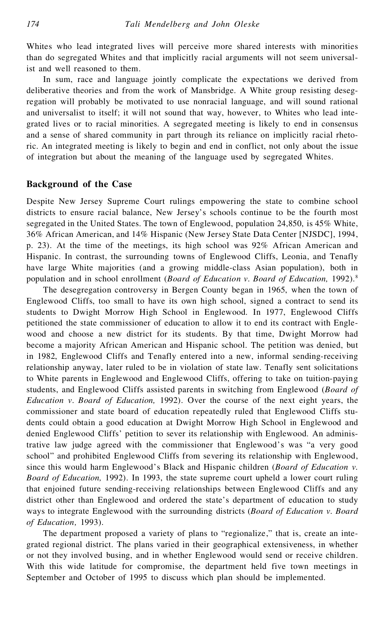Whites who lead integrated lives will perceive more shared interests with minorities than do segregated Whites and that implicitly racial arguments will not seem universalist and well reasoned to them.

In sum, race and language jointly complicate the expectations we derived from deliberative theories and from the work of Mansbridge. A White group resisting desegregation will probably be motivated to use nonracial language, and will sound rational and universalist to itself; it will not sound that way, however, to Whites who lead inte grated lives or to racial minorities. A segregated meeting is likely to end in consensus and a sense of shared community in part through its reliance on implicitly racial rhetoric. An integrated meeting is likely to begin and end in conflict, not only about the issue of integration but about the meaning of the language used by segregated Whites.

#### **Background of the Case**

Despite New Jersey Supreme Court rulings empowering the state to combine school districts to ensure racial balance, New Jersey's schools continue to be the fourth most segregated in the United States. The town of Englewood, population 24,850, is 45% White, 36% African American, and 14% Hispanic (New Jersey State Data Center [NJSDC], 1994, p. 23). At the time of the meetings, its high school was 92% African American and Hispanic. In contrast, the surrounding towns of Englewood Cliffs, Leonia, and Tenafly have large White majorities (and a growing middle-class Asian population), both in population and in school enrollment (*Board of Education v. Board of Education*, 1992).<sup>8</sup>

The desegregation controversy in Bergen County began in 1965, when the town of Englewood Cliffs, too small to have its own high school, signed a contract to send its students to Dwight Morrow High School in Englewood. In 1977, Englewood Cliffs petitioned the state commissioner of education to allow it to end its contract with Engle wood and choose a new district for its students. By that time, Dwight Morrow had become a majority African American and Hispanic school. The petition was denied, but in 1982, Englewood Cliffs and Tenafly entered into a new, informal sending-receiving relationship anyway, later ruled to be in violation of state law. Tenafly sent solicitations to White parents in Englewood and Englewood Cliffs, offering to take on tuition-paying students, and Englewood Cliffs assisted parents in switching from Englewood (*Board of Education v*. *Board of Education,* 1992). Over the course of the next eight years, the commissioner and state board of education repeatedly ruled that Englewood Cliffs stu dents could obtain a good education at Dwight Morrow High School in Englewood and denied Englewood Cliffs' petition to sever its relationship with Englewood. An administrative law judge agreed with the commissioner that Englewood's was "a very good school" and prohibited Englewood Cliffs from severing its relationship with Englewood, since this would harm Englewood's Black and Hispanic children (*Board of Education v. Board of Education,* 1992). In 1993, the state supreme court upheld a lower court ruling that enjoined future sending-receiving relationships between Englewood Cliffs and any district other than Englewood and ordered the state's department of education to study ways to integrate Englewood with the surrounding districts (*Board of Education v. Board of Education,* 1993).

The department proposed a variety of plans to "regionalize," that is, create an inte grated regional district. The plans varied in their geographical extensiveness, in whether or not they involved busing, and in whether Englewood would send or receive children. With this wide latitude for compromise, the department held five town meetings in September and October of 1995 to discuss which plan should be implemented.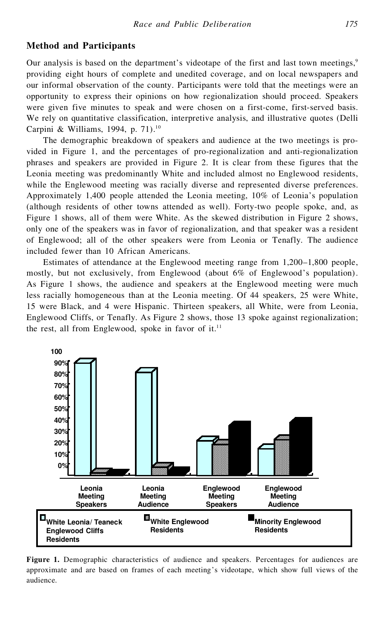#### **Method and Participants**

Our analysis is based on the department's videotape of the first and last town meetings,<sup>9</sup> providing eight hours of complete and unedited coverage, and on local newspapers and our informal observation of the county. Participants were told that the meetings were an opportunity to express their opinions on how regionalization should proceed. Speakers were given five minutes to speak and were chosen on a first-come, first-served basis. We rely on quantitative classification, interpretive analysis, and illustrative quotes (Delli Carpini & Williams, 1994, p. 71).<sup>10</sup>

The demographic breakdown of speakers and audience at the two meetings is pro vided in Figure 1, and the percentages of pro-regionalization and anti-regionalization phrases and speakers are provided in Figure 2. It is clear from these figures that the Leonia meeting was predominantly White and included almost no Englewood residents, while the Englewood meeting was racially diverse and represented diverse preferences. Approximately 1,400 people attended the Leonia meeting, 10% of Leonia's population (although residents of other towns attended as well). Forty-two people spoke, and, as Figure 1 shows, all of them were White. As the skewed distribution in Figure 2 shows, only one of the speakers was in favor of regionalization, and that speaker was a resident of Englewood; all of the other speakers were from Leonia or Tenafly. The audience included fewer than 10 African Americans.

the rest, all from Englewood, spoke in favor of it.<sup>11</sup> Estimates of attendance at the Englewood meeting range from 1,200–1,800 people, mostly, but not exclusively, from Englewood (about 6% of Englewood's population). As Figure 1 shows, the audience and speakers at the Englewood meeting were much less racially homogeneous than at the Leonia meeting. Of 44 speakers, 25 were White, 15 were Black, and 4 were Hispanic. Thirteen speakers, all White, were from Leonia, Englewood Cliffs, or Tenafly. As Figure 2 shows, those 13 spoke against regionalization;



**Figure 1.** Demographic characteristics of audience and speakers. Percentages for audiences are approximate and are based on frames of each meeting's videotape, which show full views of the audience.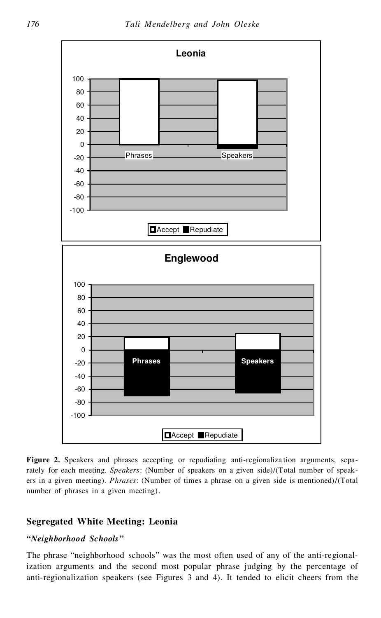

**Figure 2.** Speakers and phrases accepting or repudiating anti-regionaliza tion arguments, separately for each meeting. *Speakers*: (Number of speakers on a given side)/(Total number of speak ers in a given meeting). *Phrases*: (Number of times a phrase on a given side is mentioned)/(Total number of phrases in a given meeting).

## **Segregated White Meeting: Leonia**

## *"Neighborhood Schools"*

The phrase "neighborhood schools" was the most often used of any of the anti-regionalization arguments and the second most popular phrase judging by the percentage of anti-regionalization speakers (see Figures 3 and 4). It tended to elicit cheers from the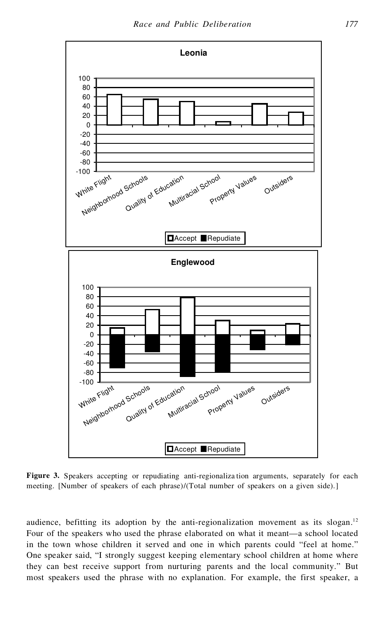

Figure 3. Speakers accepting or repudiating anti-regionalization arguments, separately for each meeting. [Number of speakers of each phrase)/(Total number of speakers on a given side).]

audience, befitting its adoption by the anti-regionalization movement as its slogan.<sup>12</sup> Four of the speakers who used the phrase elaborated on what it meant—a school located in the town whose children it served and one in which parents could "feel at home." One speaker said, "I strongly suggest keeping elementary school children at home where they can best receive support from nurturing parents and the local community." But most speakers used the phrase with no explanation. For example, the first speaker, a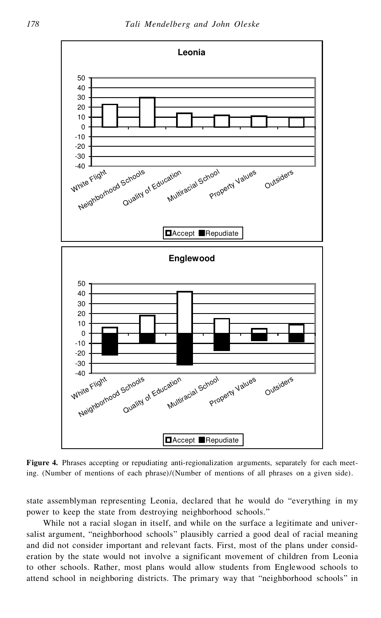

**Figure 4.** Phrases accepting or repudiating anti-regionalization arguments, separately for each meeting. (Number of mentions of each phrase)/(Number of mentions of all phrases on a given side).

state assemblyman representing Leonia, declared that he would do "everything in my power to keep the state from destroying neighborhood schools."

While not a racial slogan in itself, and while on the surface a legitimate and universalist argument, "neighborhood schools" plausibly carried a good deal of racial meaning and did not consider important and relevant facts. First, most of the plans under consid eration by the state would not involve a significant movement of children from Leonia to other schools. Rather, most plans would allow students from Englewood schools to attend school in neighboring districts. The primary way that "neighborhood schools" in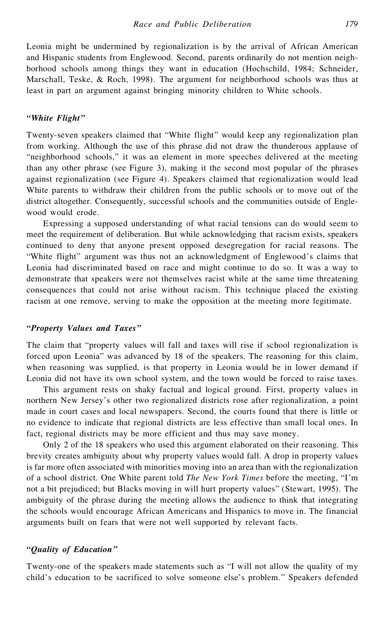Leonia might be undermined by regionalization is by the arrival of African American and Hispanic students from Englewood. Second, parents ordinarily do not mention neigh borhood schools among things they want in education (Hochschild, 1984; Schneider, Marschall, Teske, & Roch, 1998). The argument for neighborhood schools was thus at least in part an argument against bringing minority children to White schools.

#### *"White Flight"*

Twenty-seven speakers claimed that "White flight" would keep any regionalization plan from working. Although the use of this phrase did not draw the thunderous applause of "neighborhood schools," it was an element in more speeches delivered at the meeting than any other phrase (see Figure 3), making it the second most popular of the phrases against regionalization (see Figure 4). Speakers claimed that regionalization would lead White parents to withdraw their children from the public schools or to move out of the district altogether. Consequently, successful schools and the communities outside of Engle wood would erode.

Expressing a supposed understanding of what racial tensions can do would seem to meet the requirement of deliberation. But while acknowledging that racism exists, speakers continued to deny that anyone present opposed desegregation for racial reasons. The "White flight" argument was thus not an acknowledgment of Englewood's claims that Leonia had discriminated based on race and might continue to do so. It was a way to demonstrate that speakers were not themselves racist while at the same time threatening consequences that could not arise without racism. This technique placed the existing racism at one remove, serving to make the opposition at the meeting more legitimate.

#### *"Property Values and Taxes"*

The claim that "property values will fall and taxes will rise if school regionalization is forced upon Leonia" was advanced by 18 of the speakers. The reasoning for this claim, when reasoning was supplied, is that property in Leonia would be in lower demand if Leonia did not have its own school system, and the town would be forced to raise taxes.

This argument rests on shaky factual and logical ground. First, property values in northern New Jersey's other two regionalized districts rose after regionalization, a point made in court cases and local newspapers. Second, the courts found that there is little or no evidence to indicate that regional districts are less effective than small local ones. In fact, regional districts may be more efficient and thus may save money.

Only 2 of the 18 speakers who used this argument elaborated on their reasoning. This brevity creates ambiguity about why property values would fall. A drop in property values is far more often associated with minorities moving into an area than with the regionalization of a school district. One White parent told *The New York Times* before the meeting, "I'm not a bit prejudiced; but Blacks moving in will hurt property values" (Stewart, 1995). The ambiguity of the phrase during the meeting allows the audience to think that integrating the schools would encourage African Americans and Hispanics to move in. The financial arguments built on fears that were not well supported by relevant facts.

#### *"Quality of Education"*

Twenty-one of the speakers made statements such as "I will not allow the quality of my child's education to be sacrificed to solve someone else's problem." Speakers defended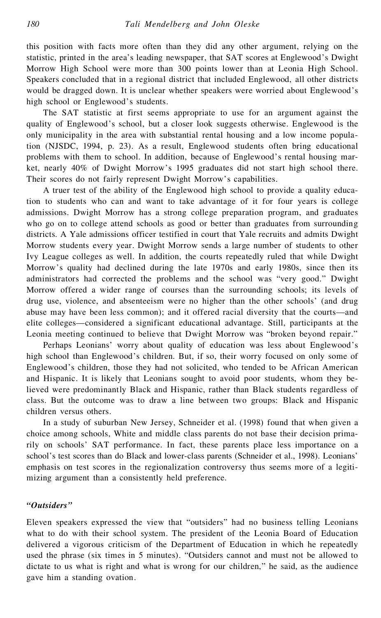this position with facts more often than they did any other argument, relying on the statistic, printed in the area's leading newspaper, that SAT scores at Englewood's Dwight Morrow High School were more than 300 points lower than at Leonia High School. Speakers concluded that in a regional district that included Englewood, all other districts would be dragged down. It is unclear whether speakers were worried about Englewood's high school or Englewood's students.

The SAT statistic at first seems appropriate to use for an argument against the quality of Englewood's school, but a closer look suggests otherwise. Englewood is the only municipality in the area with substantial rental housing and a low income population (NJSDC, 1994, p. 23). As a result, Englewood students often bring educational problems with them to school. In addition, because of Englewood's rental housing mar ket, nearly 40% of Dwight Morrow's 1995 graduates did not start high school there. Their scores do not fairly represent Dwight Morrow's capabilities.

A truer test of the ability of the Englewood high school to provide a quality education to students who can and want to take advantage of it for four years is college admissions. Dwight Morrow has a strong college preparation program, and graduates who go on to college attend schools as good or better than graduates from surrounding districts. A Yale admissions officer testified in court that Yale recruits and admits Dwight Morrow students every year. Dwight Morrow sends a large number of students to other Ivy League colleges as well. In addition, the courts repeatedly ruled that while Dwight Morrow's quality had declined during the late 1970s and early 1980s, since then its administrators had corrected the problems and the school was "very good." Dwight Morrow offered a wider range of courses than the surrounding schools; its levels of drug use, violence, and absenteeism were no higher than the other schools' (and drug abuse may have been less common); and it offered racial diversity that the courts—and elite colleges—considered a significant educational advantage. Still, participants at the Leonia meeting continued to believe that Dwight Morrow was "broken beyond repair."

Perhaps Leonians' worry about quality of education was less about Englewood's high school than Englewood's children. But, if so, their worry focused on only some of Englewood's children, those they had not solicited, who tended to be African American and Hispanic. It is likely that Leonians sought to avoid poor students, whom they believed were predominantly Black and Hispanic, rather than Black students regardless of class. But the outcome was to draw a line between two groups: Black and Hispanic children versus others.

In a study of suburban New Jersey, Schneider et al. (1998) found that when given a choice among schools, White and middle class parents do not base their decision primarily on schools' SAT performance. In fact, these parents place less importance on a school's test scores than do Black and lower-class parents (Schneider et al., 1998). Leonians' emphasis on test scores in the regionalization controversy thus seems more of a legiti mizing argument than a consistently held preference.

#### *"Outsiders"*

Eleven speakers expressed the view that "outsiders" had no business telling Leonians what to do with their school system. The president of the Leonia Board of Education delivered a vigorous criticism of the Department of Education in which he repeatedly used the phrase (six times in 5 minutes). "Outsiders cannot and must not be allowed to dictate to us what is right and what is wrong for our children," he said, as the audience gave him a standing ovation.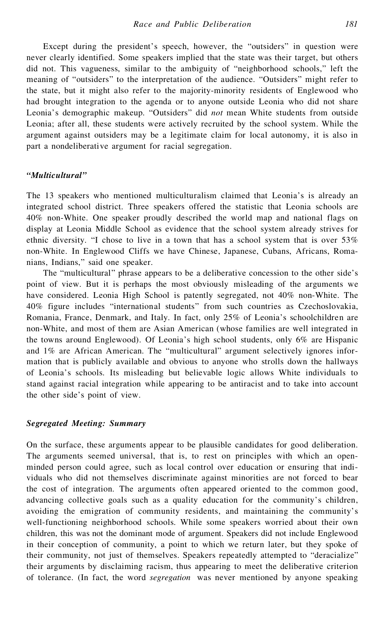Except during the president's speech, however, the "outsiders" in question were never clearly identified. Some speakers implied that the state was their target, but others did not. This vagueness, similar to the ambiguity of "neighborhood schools," left the meaning of "outsiders" to the interpretation of the audience. "Outsiders" might refer to the state, but it might also refer to the majority-minority residents of Englewood who had brought integration to the agenda or to anyone outside Leonia who did not share Leonia's demographic makeup. "Outsiders" did *not* mean White students from outside Leonia; after all, these students were actively recruited by the school system. While the argument against outsiders may be a legitimate claim for local autonomy, it is also in part a nondeliberative argument for racial segregation.

#### *"Multicultural"*

The 13 speakers who mentioned multiculturalism claimed that Leonia's is already an integrated school district. Three speakers offered the statistic that Leonia schools are 40% non-White. One speaker proudly described the world map and national flags on display at Leonia Middle School as evidence that the school system already strives for ethnic diversity. "I chose to live in a town that has a school system that is over 53% non-White. In Englewood Cliffs we have Chinese, Japanese, Cubans, Africans, Roma nians, Indians," said one speaker.

The "multicultural" phrase appears to be a deliberative concession to the other side's point of view. But it is perhaps the most obviously misleading of the arguments we have considered. Leonia High School is patently segregated, not 40% non-White. The 40% figure includes "international students" from such countries as Czechoslovakia, Romania, France, Denmark, and Italy. In fact, only 25% of Leonia's schoolchildren are non-White, and most of them are Asian American (whose families are well integrated in the towns around Englewood). Of Leonia's high school students, only 6% are Hispanic and 1% are African American. The "multicultural" argument selectively ignores infor mation that is publicly available and obvious to anyone who strolls down the hallways of Leonia's schools. Its misleading but believable logic allows White individuals to stand against racial integration while appearing to be antiracist and to take into account the other side's point of view.

#### *Segregated Meeting: Summary*

On the surface, these arguments appear to be plausible candidates for good deliberation. The arguments seemed universal, that is, to rest on principles with which an open minded person could agree, such as local control over education or ensuring that indi viduals who did not themselves discriminate against minorities are not forced to bear the cost of integration. The arguments often appeared oriented to the common good, advancing collective goals such as a quality education for the community's children, avoiding the emigration of community residents, and maintaining the community's well-functioning neighborhood schools. While some speakers worried about their own children, this was not the dominant mode of argument. Speakers did not include Englewood in their conception of community, a point to which we return later, but they spoke of their community, not just of themselves. Speakers repeatedly attempted to "deracialize" their arguments by disclaiming racism, thus appearing to meet the deliberative criterion of tolerance. (In fact, the word *segregation* was never mentioned by anyone speaking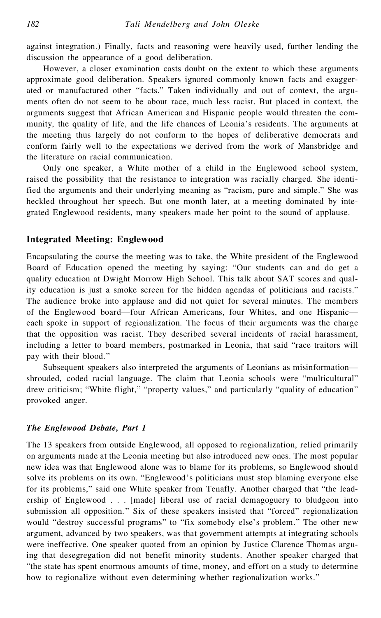against integration.) Finally, facts and reasoning were heavily used, further lending the discussion the appearance of a good deliberation.

However, a closer examination casts doubt on the extent to which these arguments approximate good deliberation. Speakers ignored commonly known facts and exagger ated or manufactured other "facts." Taken individually and out of context, the argu ments often do not seem to be about race, much less racist. But placed in context, the arguments suggest that African American and Hispanic people would threaten the com munity, the quality of life, and the life chances of Leonia's residents. The arguments at the meeting thus largely do not conform to the hopes of deliberative democrats and conform fairly well to the expectations we derived from the work of Mansbridge and the literature on racial communication.

Only one speaker, a White mother of a child in the Englewood school system, raised the possibility that the resistance to integration was racially charged. She identified the arguments and their underlying meaning as "racism, pure and simple." She was heckled throughout her speech. But one month later, at a meeting dominated by inte grated Englewood residents, many speakers made her point to the sound of applause.

#### **Integrated Meeting: Englewood**

Encapsulating the course the meeting was to take, the White president of the Englewood Board of Education opened the meeting by saying: "Our students can and do get a quality education at Dwight Morrow High School. This talk about SAT scores and quality education is just a smoke screen for the hidden agendas of politicians and racists." The audience broke into applause and did not quiet for several minutes. The members of the Englewood board—four African Americans, four Whites, and one Hispanic each spoke in support of regionalization. The focus of their arguments was the charge that the opposition was racist. They described several incidents of racial harassment, including a letter to board members, postmarked in Leonia, that said "race traitors will pay with their blood."

Subsequent speakers also interpreted the arguments of Leonians as misinformation shrouded, coded racial language. The claim that Leonia schools were "multicultural" drew criticism; "White flight," "property values," and particularly "quality of education" provoked anger.

#### *The Englewood Debate, Part 1*

The 13 speakers from outside Englewood, all opposed to regionalization, relied primarily on arguments made at the Leonia meeting but also introduced new ones. The most popular new idea was that Englewood alone was to blame for its problems, so Englewood should solve its problems on its own. "Englewood's politicians must stop blaming everyone else for its problems," said one White speaker from Tenafly. Another charged that "the lead ership of Englewood . . . [made] liberal use of racial demagoguery to bludgeon into submission all opposition. " Six of these speakers insisted that "forced" regionalization would "destroy successful programs" to "fix somebody else's problem." The other new argument, advanced by two speakers, was that government attempts at integrating schools were ineffective. One speaker quoted from an opinion by Justice Clarence Thomas arguing that desegregation did not benefit minority students. Another speaker charged that "the state has spent enormous amounts of time, money, and effort on a study to determine how to regionalize without even determining whether regionalization works."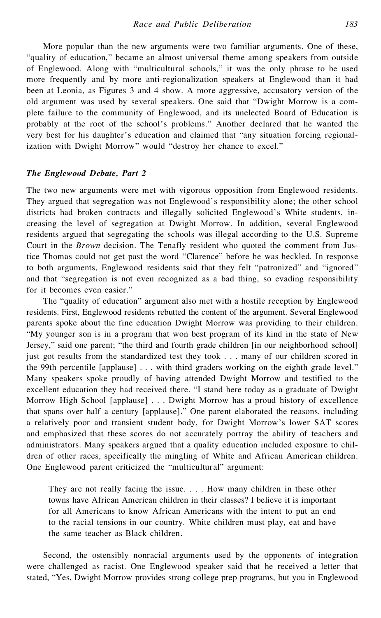More popular than the new arguments were two familiar arguments. One of these, "quality of education," became an almost universal theme among speakers from outside of Englewood. Along with "multicultural schools," it was the only phrase to be used more frequently and by more anti-regionalization speakers at Englewood than it had been at Leonia, as Figures 3 and 4 show. A more aggressive, accusatory version of the old argument was used by several speakers. One said that "Dwight Morrow is a com plete failure to the community of Englewood, and its unelected Board of Education is probably at the root of the school's problems." Another declared that he wanted the very best for his daughter's education and claimed that "any situation forcing regionalization with Dwight Morrow" would "destroy her chance to excel."

#### *The Englewood Debate, Part 2*

The two new arguments were met with vigorous opposition from Englewood residents. They argued that segregation was not Englewood's responsibility alone; the other school districts had broken contracts and illegally solicited Englewood's White students, in creasing the level of segregation at Dwight Morrow. In addition, several Englewood residents argued that segregating the schools was illegal according to the U.S. Supreme Court in the *Brown* decision. The Tenafly resident who quoted the comment from Justice Thomas could not get past the word "Clarence" before he was heckled. In response to both arguments, Englewood residents said that they felt "patronized" and "ignored" and that "segregation is not even recognized as a bad thing, so evading responsibility for it becomes even easier."

The "quality of education" argument also met with a hostile reception by Englewood residents. First, Englewood residents rebutted the content of the argument. Several Englewood parents spoke about the fine education Dwight Morrow was providing to their children. "My younger son is in a program that won best program of its kind in the state of New Jersey," said one parent; "the third and fourth grade children [in our neighborhood school] just got results from the standardized test they took . . . many of our children scored in the 99th percentile [applause] . . . with third graders working on the eighth grade level." Many speakers spoke proudly of having attended Dwight Morrow and testified to the excellent education they had received there. "I stand here today as a graduate of Dwight Morrow High School [applause] . . . Dwight Morrow has a proud history of excellence that spans over half a century [applause]." One parent elaborated the reasons, including a relatively poor and transient student body, for Dwight Morrow's lower SAT scores and emphasized that these scores do not accurately portray the ability of teachers and administrators. Many speakers argued that a quality education included exposure to chil dren of other races, specifically the mingling of White and African American children. One Englewood parent criticized the "multicultural" argument:

They are not really facing the issue. . . . How many children in these other towns have African American children in their classes? I believe it is important for all Americans to know African Americans with the intent to put an end to the racial tensions in our country. White children must play, eat and have the same teacher as Black children.

Second, the ostensibly nonracial arguments used by the opponents of integration were challenged as racist. One Englewood speaker said that he received a letter that stated, "Yes, Dwight Morrow provides strong college prep programs, but you in Englewood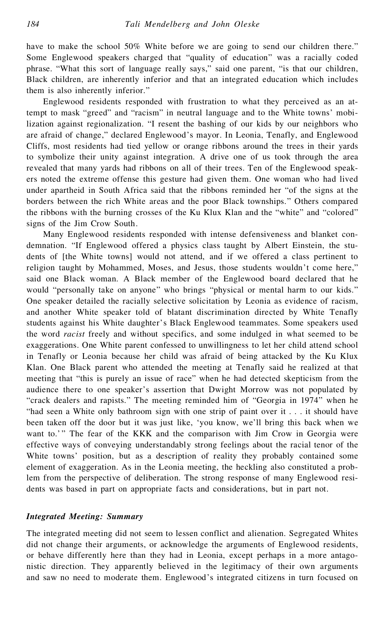have to make the school 50% White before we are going to send our children there." Some Englewood speakers charged that "quality of education" was a racially coded phrase. "What this sort of language really says," said one parent, "is that our children, Black children, are inherently inferior and that an integrated education which includes them is also inherently inferior."

Englewood residents responded with frustration to what they perceived as an attempt to mask "greed" and "racism" in neutral language and to the White towns' mobilization against regionalization. "I resent the bashing of our kids by our neighbors who are afraid of change," declared Englewood's mayor. In Leonia, Tenafly, and Englewood Cliffs, most residents had tied yellow or orange ribbons around the trees in their yards to symbolize their unity against integration. A drive one of us took through the area revealed that many yards had ribbons on all of their trees. Ten of the Englewood speak ers noted the extreme offense this gesture had given them. One woman who had lived under apartheid in South Africa said that the ribbons reminded her "of the signs at the borders between the rich White areas and the poor Black townships." Others compared the ribbons with the burning crosses of the Ku Klux Klan and the "white" and "colored" signs of the Jim Crow South.

Many Englewood residents responded with intense defensiveness and blanket con demnation. "If Englewood offered a physics class taught by Albert Einstein, the stu dents of [the White towns] would not attend, and if we offered a class pertinent to religion taught by Mohammed, Moses, and Jesus, those students wouldn't come here," said one Black woman. A Black member of the Englewood board declared that he would "personally take on anyone" who brings "physical or mental harm to our kids." One speaker detailed the racially selective solicitation by Leonia as evidence of racism, and another White speaker told of blatant discrimination directed by White Tenafly students against his White daughter's Black Englewood teammates. Some speakers used the word *racist* freely and without specifics, and some indulged in what seemed to be exaggerations. One White parent confessed to unwillingness to let her child attend school in Tenafly or Leonia because her child was afraid of being attacked by the Ku Klux Klan. One Black parent who attended the meeting at Tenafly said he realized at that meeting that "this is purely an issue of race" when he had detected skepticism from the audience there to one speaker's assertion that Dwight Morrow was not populated by "crack dealers and rapists." The meeting reminded him of "Georgia in 1974" when he "had seen a White only bathroom sign with one strip of paint over it . . . it should have been taken off the door but it was just like, 'you know, we'll bring this back when we want to.'" The fear of the KKK and the comparison with Jim Crow in Georgia were effective ways of conveying understandably strong feelings about the racial tenor of the White towns' position, but as a description of reality they probably contained some element of exaggeration. As in the Leonia meeting, the heckling also constituted a problem from the perspective of deliberation. The strong response of many Englewood resi dents was based in part on appropriate facts and considerations, but in part not.

#### *Integrated Meeting: Summary*

The integrated meeting did not seem to lessen conflict and alienation. Segregated Whites did not change their arguments, or acknowledge the arguments of Englewood residents, or behave differently here than they had in Leonia, except perhaps in a more antago nistic direction. They apparently believed in the legitimacy of their own arguments and saw no need to moderate them. Englewood's integrated citizens in turn focused on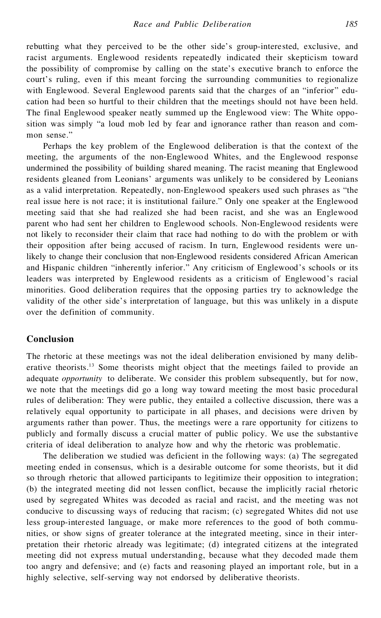rebutting what they perceived to be the other side's group-interested, exclusive, and racist arguments. Englewood residents repeatedly indicated their skepticism toward the possibility of compromise by calling on the state's executive branch to enforce the court's ruling, even if this meant forcing the surrounding communities to regionalize with Englewood. Several Englewood parents said that the charges of an "inferior" edu cation had been so hurtful to their children that the meetings should not have been held. The final Englewood speaker neatly summed up the Englewood view: The White opposition was simply "a loud mob led by fear and ignorance rather than reason and com mon sense."

Perhaps the key problem of the Englewood deliberation is that the context of the meeting, the arguments of the non-Englewood Whites, and the Englewood response undermined the possibility of building shared meaning. The racist meaning that Englewood residents gleaned from Leonians' arguments was unlikely to be considered by Leonians as a valid interpretation. Repeatedly, non-Englewood speakers used such phrases as "the real issue here is not race; it is institutional failure." Only one speaker at the Englewood meeting said that she had realized she had been racist, and she was an Englewood parent who had sent her children to Englewood schools. Non-Englewood residents were not likely to reconsider their claim that race had nothing to do with the problem or with their opposition after being accused of racism. In turn, Englewood residents were unlikely to change their conclusion that non-Englewood residents considered African American and Hispanic children "inherently inferior." Any criticism of Englewood's schools or its leaders was interpreted by Englewood residents as a criticism of Englewood's racial minorities. Good deliberation requires that the opposing parties try to acknowledge the validity of the other side's interpretation of language, but this was unlikely in a dispute over the definition of community.

## **Conclusion**

The rhetoric at these meetings was not the ideal deliberation envisioned by many delib erative theorists.<sup>13</sup> Some theorists might object that the meetings failed to provide an adequate *opportunity* to deliberate. We consider this problem subsequently, but for now, we note that the meetings did go a long way toward meeting the most basic procedural rules of deliberation: They were public, they entailed a collective discussion, there was a relatively equal opportunity to participate in all phases, and decisions were driven by arguments rather than power. Thus, the meetings were a rare opportunity for citizens to publicly and formally discuss a crucial matter of public policy. We use the substantive criteria of ideal deliberation to analyze how and why the rhetoric was problematic.

The deliberation we studied was deficient in the following ways: (a) The segregated meeting ended in consensus, which is a desirable outcome for some theorists, but it did so through rhetoric that allowed participants to legitimize their opposition to integration; (b) the integrated meeting did not lessen conflict, because the implicitly racial rhetoric used by segregated Whites was decoded as racial and racist, and the meeting was not conducive to discussing ways of reducing that racism; (c) segregated Whites did not use less group-inter ested language, or make more references to the good of both commu nities, or show signs of greater tolerance at the integrated meeting, since in their inter pretation their rhetoric already was legitimate; (d) integrated citizens at the integrated meeting did not express mutual understanding, because what they decoded made them too angry and defensive; and (e) facts and reasoning played an important role, but in a highly selective, self-serving way not endorsed by deliberative theorists.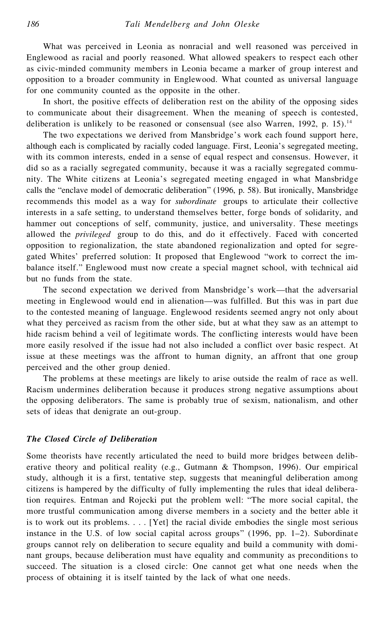What was perceived in Leonia as nonracial and well reasoned was perceived in Englewood as racial and poorly reasoned. What allowed speakers to respect each other as civic-minded community members in Leonia became a marker of group interest and opposition to a broader community in Englewood. What counted as universal language for one community counted as the opposite in the other.

In short, the positive effects of deliberation rest on the ability of the opposing sides to communicate about their disagreement. When the meaning of speech is contested, deliberation is unlikely to be reasoned or consensual (see also Warren, 1992, p. 15).<sup>14</sup>

The two expectations we derived from Mansbridge's work each found support here, although each is complicated by racially coded language. First, Leonia's segregated meeting, with its common interests, ended in a sense of equal respect and consensus. However, it did so as a racially segregated community, because it was a racially segregated commu nity. The White citizens at Leonia's segregated meeting engaged in what Mansbridge calls the "enclave model of democratic deliberation" (1996, p. 58). But ironically, Mansbridge recommends this model as a way for *subordinate* groups to articulate their collective interests in a safe setting, to understand themselves better, forge bonds of solidarity, and hammer out conceptions of self, community, justice, and universality. These meetings allowed the *privileged* group to do this, and do it effectively. Faced with concerted opposition to regionalization, the state abandoned regionalization and opted for segre gated Whites' preferred solution: It proposed that Englewood "work to correct the im balance itself." Englewood must now create a special magnet school, with technical aid but no funds from the state.

The second expectation we derived from Mansbridge's work—that the adversarial meeting in Englewood would end in alienation—was fulfilled. But this was in part due to the contested meaning of language. Englewood residents seemed angry not only about what they perceived as racism from the other side, but at what they saw as an attempt to hide racism behind a veil of legitimate words. The conflicting interests would have been more easily resolved if the issue had not also included a conflict over basic respect. At issue at these meetings was the affront to human dignity, an affront that one group perceived and the other group denied.

The problems at these meetings are likely to arise outside the realm of race as well. Racism undermines deliberation because it produces strong negative assumptions about the opposing deliberators. The same is probably true of sexism, nationalism, and other sets of ideas that denigrate an out-group.

#### *The Closed Circle of Deliberation*

Some theorists have recently articulated the need to build more bridges between delib erative theory and political reality (e.g., Gutmann & Thompson, 1996). Our empirical study, although it is a first, tentative step, suggests that meaningful deliberation among citizens is hampered by the difficulty of fully implementing the rules that ideal deliberation requires. Entman and Rojecki put the problem well: "The more social capital, the more trustful communication among diverse members in a society and the better able it is to work out its problems. . . . [Yet] the racial divide embodies the single most serious instance in the U.S. of low social capital across groups" (1996, pp. 1–2). Subordinate groups cannot rely on deliberation to secure equality and build a community with domi nant groups, because deliberation must have equality and community as preconditions to succeed. The situation is a closed circle: One cannot get what one needs when the process of obtaining it is itself tainted by the lack of what one needs.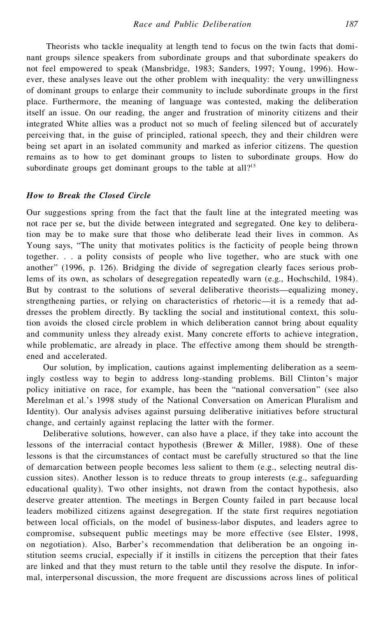Theorists who tackle inequality at length tend to focus on the twin facts that domi nant groups silence speakers from subordinate groups and that subordinate speakers do not feel empowered to speak (Mansbridge, 1983; Sanders, 1997; Young, 1996). How ever, these analyses leave out the other problem with inequality: the very unwillingness of dominant groups to enlarge their community to include subordinate groups in the first place. Furthermore, the meaning of language was contested, making the deliberation itself an issue. On our reading, the anger and frustration of minority citizens and their integrated White allies was a product not so much of feeling silenced but of accurately perceiving that, in the guise of principled, rational speech, they and their children were being set apart in an isolated community and marked as inferior citizens. The question remains as to how to get dominant groups to listen to subordinate groups. How do subordinate groups get dominant groups to the table at all?<sup>15</sup>

#### *How to Break the Closed Circle*

Our suggestions spring from the fact that the fault line at the integrated meeting was not race per se, but the divide between integrated and segregated. One key to deliberation may be to make sure that those who deliberate lead their lives in common. As Young says, "The unity that motivates politics is the facticity of people being thrown together. . . a polity consists of people who live together, who are stuck with one another" (1996, p. 126). Bridging the divide of segregation clearly faces serious problems of its own, as scholars of desegregation repeatedly warn (e.g., Hochschild, 1984). But by contrast to the solutions of several deliberative theorists—equalizing money, strengthening parties, or relying on characteristics of rhetoric—it is a remedy that ad dresses the problem directly. By tackling the social and institutional context, this solution avoids the closed circle problem in which deliberation cannot bring about equality and community unless they already exist. Many concrete efforts to achieve integration, while problematic, are already in place. The effective among them should be strength ened and accelerated.

Our solution, by implication, cautions against implementing deliberation as a seemingly costless way to begin to address long-standing problems. Bill Clinton's major policy initiative on race, for example, has been the "national conversation" (see also Merelman et al.'s 1998 study of the National Conversation on American Pluralism and Identity). Our analysis advises against pursuing deliberative initiatives before structural change, and certainly against replacing the latter with the former.

Deliberative solutions, however, can also have a place, if they take into account the lessons of the interracial contact hypothesis (Brewer & Miller, 1988). One of these lessons is that the circumstances of contact must be carefully structured so that the line of demarcation between people becomes less salient to them (e.g., selecting neutral dis cussion sites). Another lesson is to reduce threats to group interests (e.g., safeguarding educational quality). Two other insights, not drawn from the contact hypothesis, also deserve greater attention. The meetings in Bergen County failed in part because local leaders mobilized citizens against desegregation. If the state first requires negotiation between local officials, on the model of business-labor disputes, and leaders agree to compromise, subsequent public meetings may be more effective (see Elster, 1998, on negotiation). Also, Barber's recommendation that deliberation be an ongoing institution seems crucial, especially if it instills in citizens the perception that their fates are linked and that they must return to the table until they resolve the dispute. In infor mal, interpersonal discussion, the more frequent are discussions across lines of political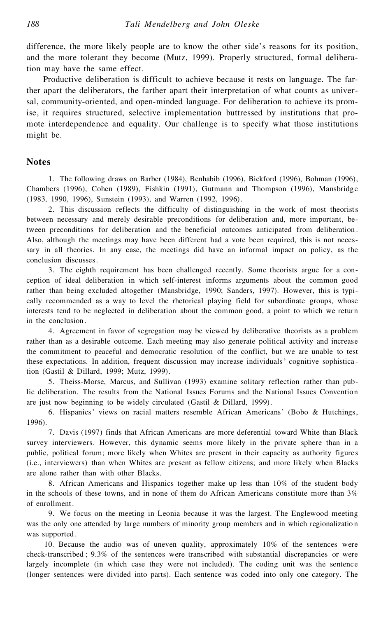difference, the more likely people are to know the other side's reasons for its position, and the more tolerant they become (Mutz, 1999). Properly structured, formal deliberation may have the same effect.

Productive deliberation is difficult to achieve because it rests on language. The farther apart the deliberators, the farther apart their interpretation of what counts as universal, community-oriented, and open-minded language. For deliberation to achieve its promise, it requires structured, selective implementation buttressed by institutions that pro mote interdependence and equality. Our challenge is to specify what those institutions might be.

#### **Notes**

1. The following draws on Barber (1984), Benhabib (1996), Bickford (1996), Bohman (1996), Chambers (1996), Cohen (1989), Fishkin (1991), Gutmann and Thompson (1996), Mansbridge (1983, 1990, 1996), Sunstein (1993), and Warren (1992, 1996).

2. This discussion reflects the difficulty of distinguishing in the work of most theorists between necessary and merely desirable preconditions for deliberation and, more important, between preconditions for deliberation and the beneficial outcomes anticipated from deliberation . Also, although the meetings may have been different had a vote been required, this is not necessary in all theories. In any case, the meetings did have an informal impact on policy, as the conclusion discusses.

3. The eighth requirement has been challenged recently. Some theorists argue for a con ception of ideal deliberation in which self-interest informs arguments about the common good rather than being excluded altogether (Mansbridge, 1990; Sanders, 1997). However, this is typi cally recommended as a way to level the rhetorical playing field for subordinate groups, whose interests tend to be neglected in deliberation about the common good, a point to which we return in the conclusion .

4. Agreement in favor of segregation may be viewed by deliberative theorists as a problem rather than as a desirable outcome. Each meeting may also generate political activity and increase the commitment to peaceful and democratic resolution of the conflict, but we are unable to test these expectations. In addition, frequent discussion may increase individuals' cognitive sophistica tion (Gastil & Dillard, 1999; Mutz, 1999).

5. Theiss-Morse, Marcus, and Sullivan (1993) examine solitary reflection rather than public deliberation. The results from the National Issues Forums and the National Issues Convention are just now beginning to be widely circulated (Gastil & Dillard, 1999).

6. Hispanics' views on racial matters resemble African Americans' (Bobo & Hutchings, 1996).

7. Davis (1997) finds that African Americans are more deferential toward White than Black survey interviewers. However, this dynamic seems more likely in the private sphere than in a public, political forum; more likely when Whites are present in their capacity as authority figures (i.e., interviewers) than when Whites are present as fellow citizens; and more likely when Blacks are alone rather than with other Blacks.

8. African Americans and Hispanics together make up less than 10% of the student body in the schools of these towns, and in none of them do African Americans constitute more than 3% of enrollment.

9. We focus on the meeting in Leonia because it was the largest. The Englewood meeting was the only one attended by large numbers of minority group members and in which regionalizatio n was supported .

10. Because the audio was of uneven quality, approximately 10% of the sentences were check-transcribed ; 9.3% of the sentences were transcribed with substantial discrepancies or were largely incomplete (in which case they were not included). The coding unit was the sentence (longer sentences were divided into parts). Each sentence was coded into only one category. The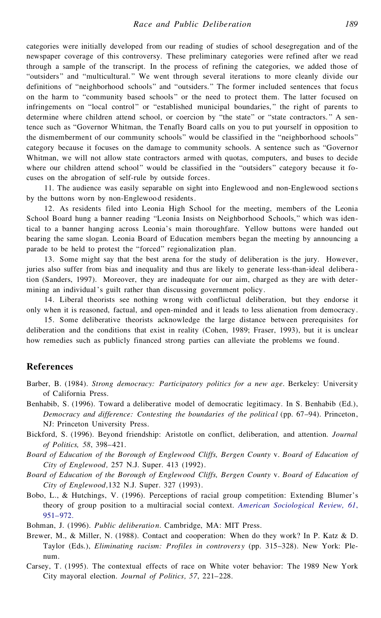categories were initially developed from our reading of studies of school desegregation and of the newspaper coverage of this controversy. These preliminary categories were refined after we read through a sample of the transcript. In the process of refining the categories, we added those of "outsiders" and "multicultural. " We went through several iterations to more cleanly divide our definitions of "neighborhood schools" and "outsiders." The former included sentences that focus on the harm to "community based schools" or the need to protect them. The latter focused on infringements on "local control" or "established municipal boundaries," the right of parents to determine where children attend school, or coercion by "the state" or "state contractors. " A sentence such as "Governor Whitman, the Tenafly Board calls on you to put yourself in opposition to the dismemberment of our community schools" would be classified in the "neighborhood schools" category because it focuses on the damage to community schools. A sentence such as "Governor Whitman, we will not allow state contractors armed with quotas, computers, and buses to decide where our children attend school" would be classified in the "outsiders" category because it fo cuses on the abrogation of self-rule by outside forces.

11. The audience was easily separable on sight into Englewood and non-Englewood sections by the buttons worn by non-Englewood residents.

12. As residents filed into Leonia High School for the meeting, members of the Leonia School Board hung a banner reading "Leonia Insists on Neighborhood Schools," which was identical to a banner hanging across Leonia's main thoroughfare. Yellow buttons were handed out bearing the same slogan. Leonia Board of Education members began the meeting by announcing a parade to be held to protest the "forced" regionalization plan.

13. Some might say that the best arena for the study of deliberation is the jury. However, juries also suffer from bias and inequality and thus are likely to generate less-than-ideal delibera tion (Sanders, 1997). Moreover, they are inadequate for our aim, charged as they are with deter mining an individual's guilt rather than discussing government policy.

14. Liberal theorists see nothing wrong with conflictual deliberation, but they endorse it only when it is reasoned, factual, and open-minded and it leads to less alienation from democracy .

15. Some deliberative theorists acknowledge the large distance between prerequisites for deliberation and the conditions that exist in reality (Cohen, 1989; Fraser, 1993), but it is unclear how remedies such as publicly financed strong parties can alleviate the problems we found.

### **References**

- Barber, B. (1984). *Strong democracy: Participatory politics for a new age*. Berkeley: University of California Press.
- Benhabib, S. (1996). Toward a deliberative model of democratic legitimacy. In S. Benhabib (Ed.), *Democracy and difference: Contesting the boundaries of the political* (pp. 67–94). Princeton, NJ: Princeton University Press.
- Bickford, S. (1996). Beyond friendship: Aristotle on conflict, deliberation, and attention. *Journal of Politics, 58*, 398–421.
- *Board of Education of the Borough of Englewood Cliffs, Bergen County* v. *Board of Education of City of Englewood,* 257 N.J. Super. 413 (1992).
- *Board of Education of the Borough of Englewood Cliffs, Bergen County* v. *Board of Education of City of Englewood,*132 N.J. Super. 327 (1993).
- Bobo, L., & Hutchings, V. (1996). Perceptions of racial group competition: Extending Blumer's theory of group position to a multiracial social context. *[American Sociological Review, 61](http://lucia.catchword.com/nw=1/rpsv/0003-1224^28^2961L.951[aid=774281,csa=0003-1224^26vol=61^26iss=6^26firstpage=951,era=97S/146])*, [951–972.](http://lucia.catchword.com/nw=1/rpsv/0003-1224^28^2961L.951[aid=774281,csa=0003-1224^26vol=61^26iss=6^26firstpage=951,era=97S/146])

Bohman, J. (1996). *Public deliberatio n*. Cambridge, MA: MIT Press.

- Brewer, M., & Miller, N. (1988). Contact and cooperation: When do they work? In P. Katz & D. Taylor (Eds.), *Eliminating racism: Profiles in controvers y* (pp. 315–328). New York: Ple num.
- Carsey, T. (1995). The contextual effects of race on White voter behavior: The 1989 New York City mayoral election. *Journal of Politics, 57*, 221–228.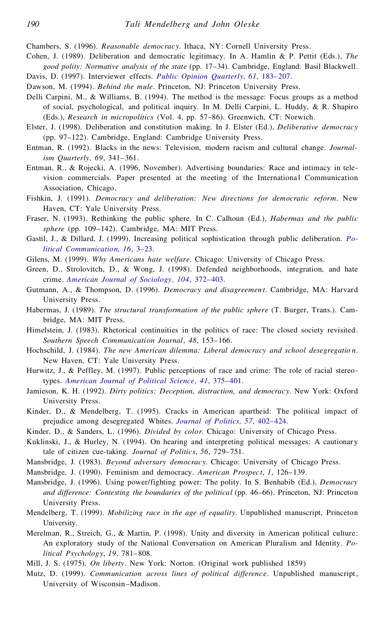Chambers, S. (1996). *Reasonable democracy*. Ithaca, NY: Cornell University Press.

- Cohen, J. (1989). Deliberation and democratic legitimacy. In A. Hamlin & P. Pettit (Eds.), *The good polity: Normative analysis of the state* (pp. 17–34). Cambridge, England: Basil Blackwell. Davis, D. (1997). Interviewer effects. *[Public Opinion Quarterly](http://lucia.catchword.com/nw=1/rpsv/0033-362X^28^2961L.183[aid=774283,csa=0033-362X^26vol=61^26iss=1^26firstpage=183])*, *61*, 183–207.
- Dawson, M. (1994). *Behind the mule*. Princeton, NJ: Princeton University Press.
- Delli Carpini, M., & Williams, B. (1994). The method is the message: Focus groups as a method of social, psychological, and political inquiry. In M. Delli Carpini, L. Huddy, & R. Shapiro (Eds.), *Research in micropolitics* (Vol. 4, pp. 57–86). Greenwich, CT: Norwich.
- Elster, J. (1998). Deliberation and constitution making. In J. Elster (Ed.), *Deliberative democracy* (pp. 97–122). Cambridge, England: Cambridge University Press.
- Entman, R. (1992). Blacks in the news: Television, modern racism and cultural change. *Journalism Quarterly, 69*, 341–361.
- Entman, R., & Rojecki, A. (1996, November). Advertising boundaries: Race and intimacy in tele vision commercials. Paper presented at the meeting of the Internationa l Communication Association, Chicago.
- Fishkin, J. (1991). *Democracy and deliberation: New directions for democratic reform*. New Haven, CT: Yale University Press.
- Fraser, N. (1993). Rethinking the public sphere. In C. Calhoun (Ed.), *Habermas and the public sphere* (pp. 109–142). Cambridge, MA: MIT Press.
- Gastil, J., & Dillard, J. (1999). Increasing political sophistication through public deliberation. *[Po](http://lucia.catchword.com/nw=1/rpsv/1058-4609^28^2916L.3[aid=774284,cw=1])[litical Communication,](http://lucia.catchword.com/nw=1/rpsv/1058-4609^28^2916L.3[aid=774284,cw=1]) 16*, 3–23.
- Gilens, M. (1999). *Why Americans hate welfare*. Chicago: University of Chicago Press.
- Green, D., Strolovitch, D., & Wong, J. (1998). Defended neighborhoods, integration, and hate crime. *[American Journal of Sociology](http://lucia.catchword.com/nw=1/rpsv/0002-9602^28^29104L.372[aid=774285,csa=0002-9602^26vol=104^26iss=2^26firstpage=372]) , 104*, 372–403.
- Gutmann, A., & Thompson, D. (1996). *Democracy and disagreemen t*. Cambridge, MA: Harvard University Press.
- Habermas, J. (1989). *The structural transformation of the public sphere* (T. Burger, Trans.). Cam bridge, MA: MIT Press.
- Himelstein, J. (1983). Rhetorical continuities in the politics of race: The closed society revisited. *Southern Speech Communication Journal, 48*, 153–166.
- Hochschild, J. (1984). *The new American dilemma: Liberal democracy and school desegregatio n*. New Haven, CT: Yale University Press.
- Hurwitz, J., & Peffley, M. (1997). Public perceptions of race and crime: The role of racial stereotypes. *[American Journal of Political Science,](http://lucia.catchword.com/nw=1/rpsv/0092-5853^28^2941L.375[aid=774289,csa=0092-5853^26vol=41^26iss=2^26firstpage=375]) 41*, 375–401.
- Jamieson, K. H. (1992). *Dirty politics: Deception, distraction, and democracy*. New York: Oxford University Press.
- Kinder, D., & Mendelberg, T. (1995). Cracks in American apartheid: The political impact of prejudice among desegregated Whites. *[Journal of Politics,](http://lucia.catchword.com/nw=1/rpsv/0022-3816^28^2957L.402[aid=774286,csa=0022-3816^26vol=57^26iss=2^26firstpage=402]) 57*, 402–424.
- Kinder, D., & Sanders, L. (1996). *Divided by color*. Chicago: University of Chicago Press.
- Kuklinski, J., & Hurley, N. (1994). On hearing and interpreting political messages: A cautionar y tale of citizen cue-taking. *Journal of Politics*, *56*, 729–751.
- Mansbridge, J. (1983). *Beyond adversary democracy*. Chicago: University of Chicago Press.
- Mansbridge, J. (1990). Feminism and democracy. *American Prospect*, *1*, 126–139.
- Mansbridge, J. (1996). Using power/fighting power: The polity. In S. Benhabib (Ed.), *Democracy and difference: Contesting the boundaries of the political* (pp. 46–66). Princeton, NJ: Princeton University Press.
- Mendelberg, T. (1999). *Mobilizing race in the age of equality*. Unpublished manuscript, Princeton University.
- Merelman, R., Streich, G., & Martin, P. (1998). Unity and diversity in American political culture: An exploratory study of the National Conversation on American Pluralism and Identity. *Political Psychology*, *19*, 781–808.
- Mill, J. S. (1975). *On liberty*. New York: Norton. (Original work published 1859)
- Mutz, D. (1999). *Communication across lines of political difference*. Unpublished manuscript, University of Wisconsin–Madison.